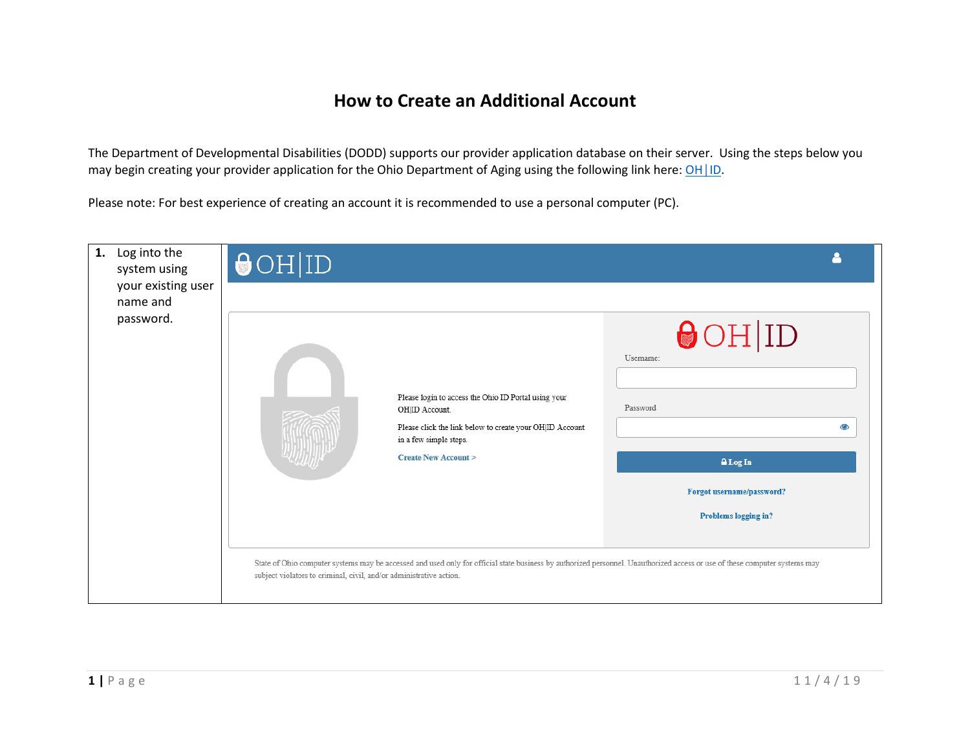## How to Create an Additional Account

The Department of Developmental Disabilities (DODD) supports our provider application database on their server. Using the steps below you may begin creating your provider application for the Ohio Department of Aging using the following link here: OH | ID.

Please note: For best experience of creating an account it is recommended to use a personal computer (PC).

| Log into the<br>1.<br>system using<br>your existing user | $\Theta$ OH ID                                                      |                                                                                                                                                                                               |                                                    |           |
|----------------------------------------------------------|---------------------------------------------------------------------|-----------------------------------------------------------------------------------------------------------------------------------------------------------------------------------------------|----------------------------------------------------|-----------|
| name and                                                 |                                                                     |                                                                                                                                                                                               |                                                    |           |
| password.                                                |                                                                     | Please login to access the Ohio ID Portal using your<br>OHID Account.<br>Please click the link below to create your OH ID Account<br>in a few simple steps.<br><b>Create New Account &gt;</b> | $\Theta$ OH ID<br>Usemame:<br>Password<br>A Log In | $\bullet$ |
|                                                          |                                                                     |                                                                                                                                                                                               | Forgot username/password?                          |           |
|                                                          |                                                                     |                                                                                                                                                                                               | Problems logging in?                               |           |
|                                                          | subject violators to criminal, civil, and/or administrative action. | State of Ohio computer systems may be accessed and used only for official state business by authorized personnel. Unauthorized access or use of these computer systems may                    |                                                    |           |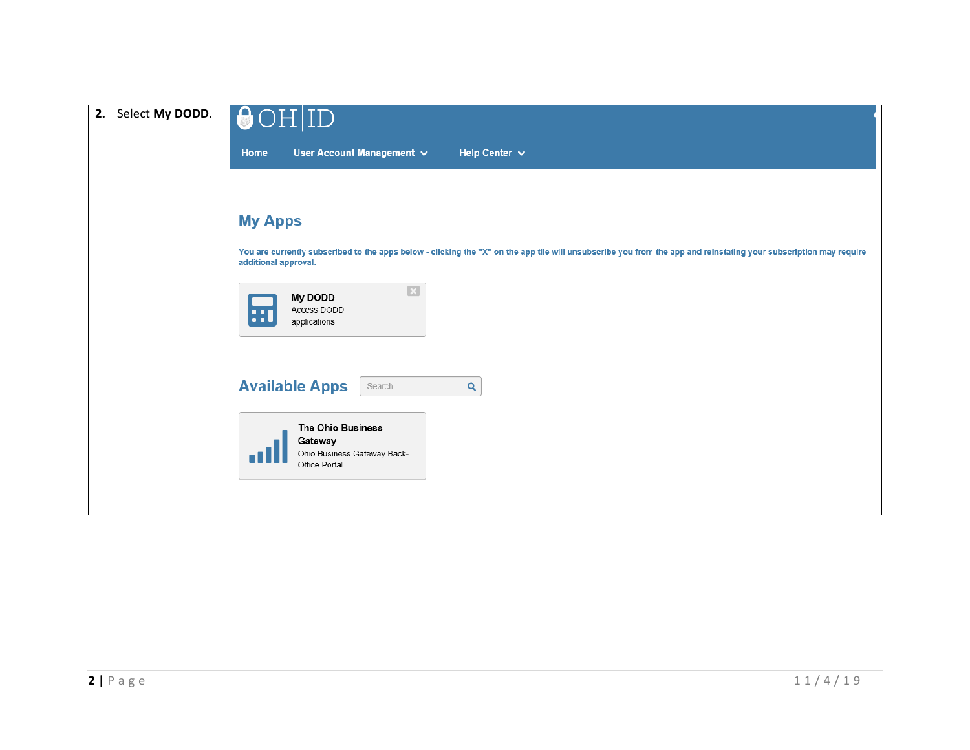| Select My DODD.<br>2. | $\bigodot$ OH ID                                                                                                                                                                          |
|-----------------------|-------------------------------------------------------------------------------------------------------------------------------------------------------------------------------------------|
|                       | User Account Management $\vee$<br>Home<br>Help Center $\sim$                                                                                                                              |
|                       |                                                                                                                                                                                           |
|                       | <b>My Apps</b>                                                                                                                                                                            |
|                       | You are currently subscribed to the apps below - clicking the "X" on the app tile will unsubscribe you from the app and reinstating your subscription may require<br>additional approval. |
|                       | $\overline{\mathbf{z}}$<br>My DODD<br>Access DODD<br>80<br>applications                                                                                                                   |
|                       | <b>Available Apps</b><br>Q<br>Search                                                                                                                                                      |
|                       | The Ohio Business<br>Gateway<br>Ohio Business Gateway Back-<br>Office Portal                                                                                                              |
|                       |                                                                                                                                                                                           |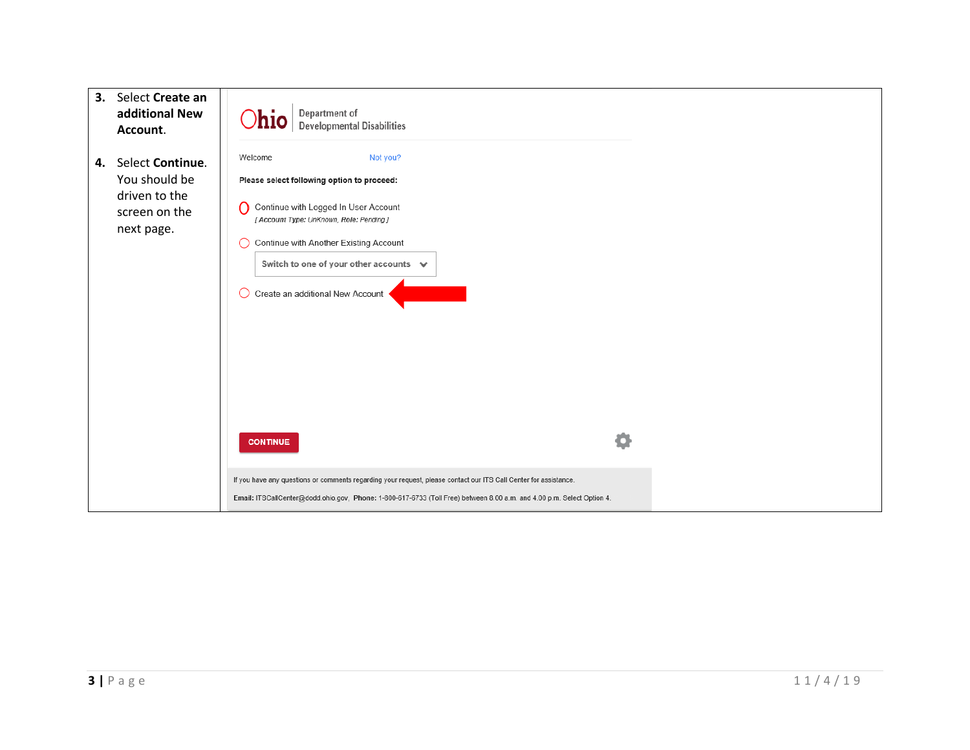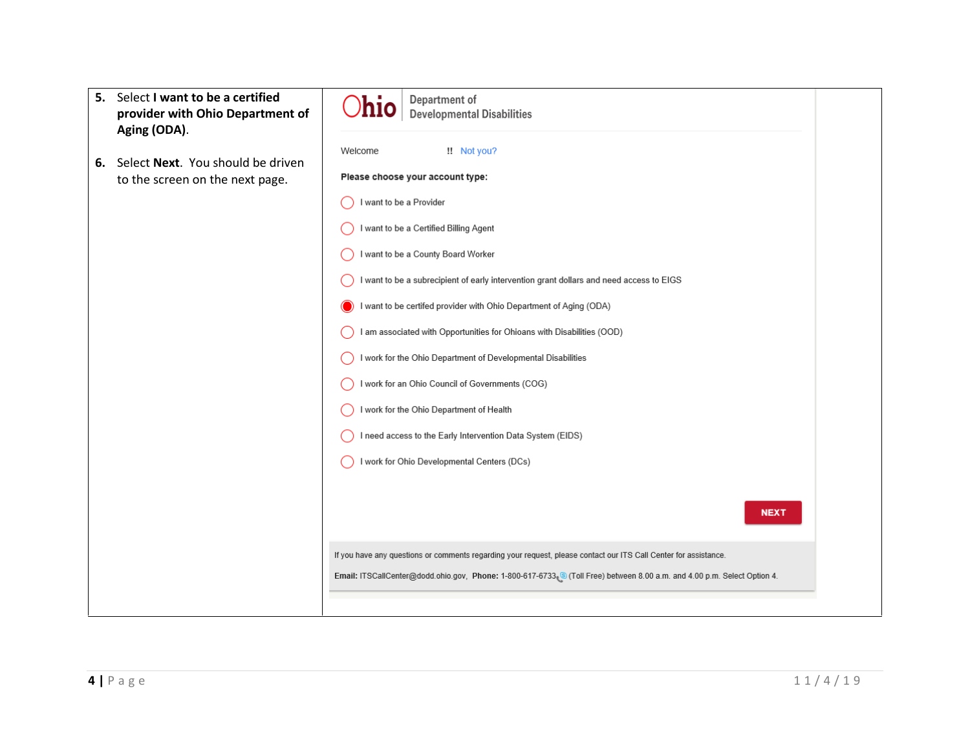| 5. Select I want to be a certified<br>provider with Ohio Department of                     | Department of<br>nio<br><b>Developmental Disabilities</b>                                                                                                                                                                                                                                                                                                                                                                                                                                                                                                                                                                                                                                    |
|--------------------------------------------------------------------------------------------|----------------------------------------------------------------------------------------------------------------------------------------------------------------------------------------------------------------------------------------------------------------------------------------------------------------------------------------------------------------------------------------------------------------------------------------------------------------------------------------------------------------------------------------------------------------------------------------------------------------------------------------------------------------------------------------------|
| Aging (ODA).<br>Select Next. You should be driven<br>6.<br>to the screen on the next page. | !! Not you?<br>Welcome<br>Please choose your account type:<br>I want to be a Provider<br>I want to be a Certified Billing Agent<br>I want to be a County Board Worker<br>I want to be a subrecipient of early intervention grant dollars and need access to EIGS<br>I want to be certifed provider with Ohio Department of Aging (ODA)<br>I am associated with Opportunities for Ohioans with Disabilities (OOD)<br>I work for the Ohio Department of Developmental Disabilities<br>I work for an Ohio Council of Governments (COG)<br>I work for the Ohio Department of Health<br>I need access to the Early Intervention Data System (EIDS)<br>I work for Ohio Developmental Centers (DCs) |
|                                                                                            | <b>NEXT</b><br>If you have any questions or comments regarding your request, please contact our ITS Call Center for assistance.<br>Email: ITSCallCenter@dodd.ohio.gov, Phone: 1-800-617-6733 S (Toll Free) between 8.00 a.m. and 4.00 p.m. Select Option 4.                                                                                                                                                                                                                                                                                                                                                                                                                                  |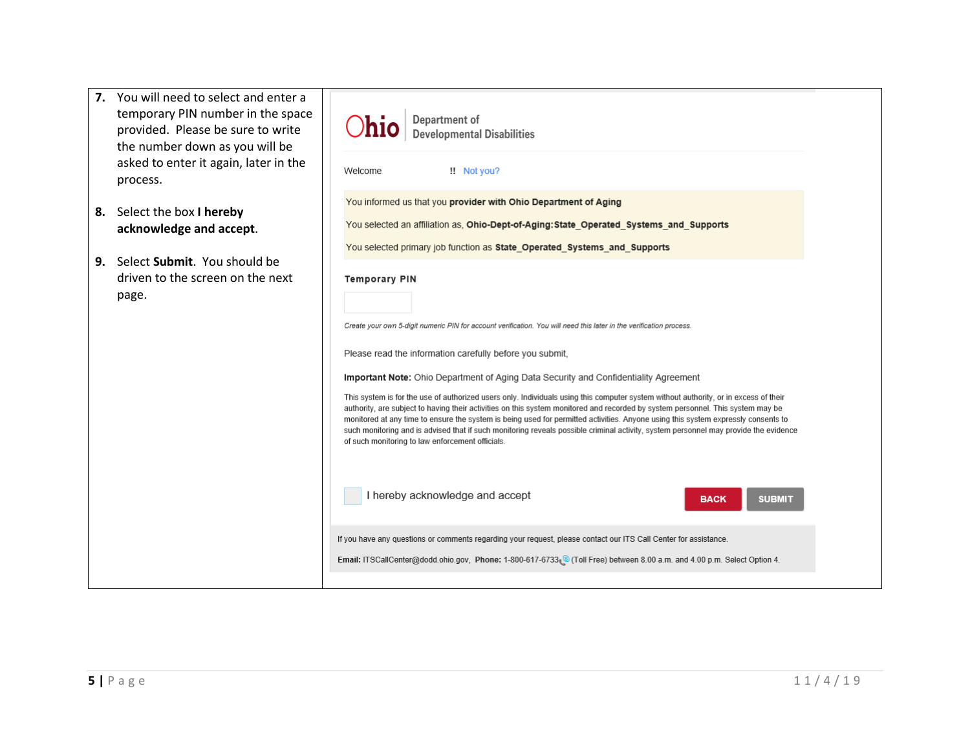| 7. You will need to select and enter a<br>temporary PIN number in the space<br>provided. Please be sure to write<br>the number down as you will be<br>asked to enter it again, later in the<br>process. | Department of<br><b>Ohio</b><br><b>Developmental Disabilities</b><br>!! Not you?<br>Welcome                                                                                                                                                                                                                                                                                                                                                                                                                                                                                                                                                                                                             |
|---------------------------------------------------------------------------------------------------------------------------------------------------------------------------------------------------------|---------------------------------------------------------------------------------------------------------------------------------------------------------------------------------------------------------------------------------------------------------------------------------------------------------------------------------------------------------------------------------------------------------------------------------------------------------------------------------------------------------------------------------------------------------------------------------------------------------------------------------------------------------------------------------------------------------|
| 8. Select the box I hereby<br>acknowledge and accept.                                                                                                                                                   | You informed us that you provider with Ohio Department of Aging<br>You selected an affiliation as, Ohio-Dept-of-Aging: State Operated Systems and Supports<br>You selected primary job function as State Operated Systems and Supports                                                                                                                                                                                                                                                                                                                                                                                                                                                                  |
| 9. Select Submit. You should be<br>driven to the screen on the next<br>page.                                                                                                                            | <b>Temporary PIN</b><br>Create your own 5-digit numeric PIN for account verification. You will need this later in the verification process.<br>Please read the information carefully before you submit,                                                                                                                                                                                                                                                                                                                                                                                                                                                                                                 |
|                                                                                                                                                                                                         | <b>Important Note:</b> Ohio Department of Aging Data Security and Confidentiality Agreement<br>This system is for the use of authorized users only. Individuals using this computer system without authority, or in excess of their<br>authority, are subject to having their activities on this system monitored and recorded by system personnel. This system may be<br>monitored at any time to ensure the system is being used for permitted activities. Anyone using this system expressly consents to<br>such monitoring and is advised that if such monitoring reveals possible criminal activity, system personnel may provide the evidence<br>of such monitoring to law enforcement officials. |
|                                                                                                                                                                                                         | I hereby acknowledge and accept<br><b>SUBMIT</b><br><b>BACK</b>                                                                                                                                                                                                                                                                                                                                                                                                                                                                                                                                                                                                                                         |
|                                                                                                                                                                                                         | If you have any questions or comments regarding your request, please contact our ITS Call Center for assistance.<br>Email: ITSCallCenter@dodd.ohio.gov, Phone: 1-800-617-6733 @ (Toll Free) between 8.00 a.m. and 4.00 p.m. Select Option 4.                                                                                                                                                                                                                                                                                                                                                                                                                                                            |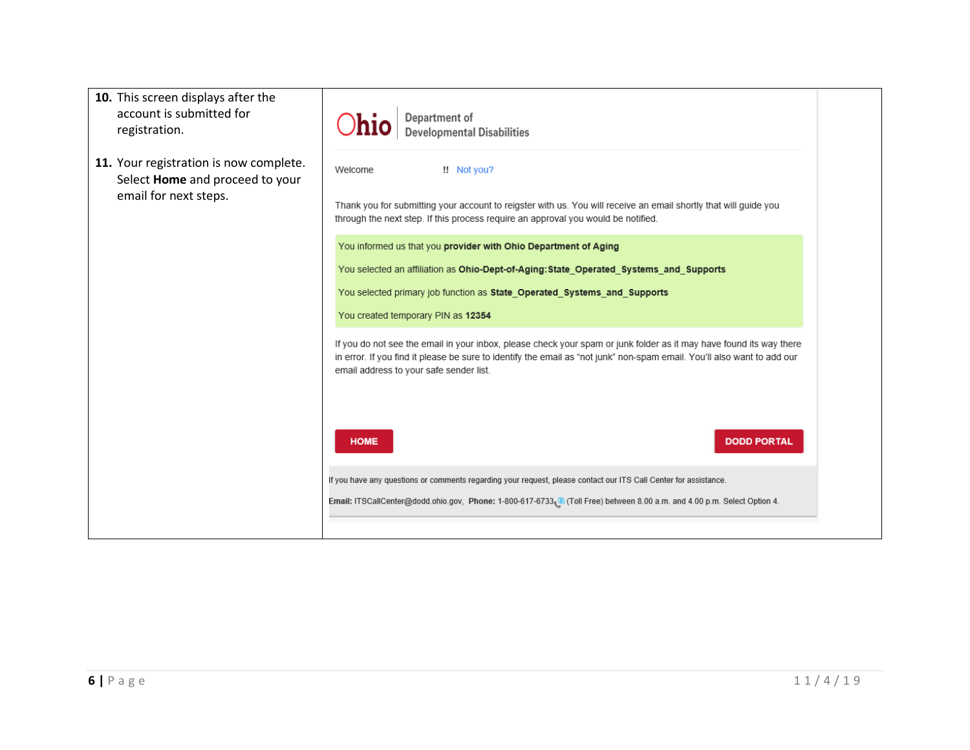| 10. This screen displays after the<br>account is submitted for<br>registration.                    | <b>Department of<br/>Developmental Disabilities</b>                                                                                                                                                                                                                                       |
|----------------------------------------------------------------------------------------------------|-------------------------------------------------------------------------------------------------------------------------------------------------------------------------------------------------------------------------------------------------------------------------------------------|
| 11. Your registration is now complete.<br>Select Home and proceed to your<br>email for next steps. | !! Not you?<br>Welcome<br>Thank you for submitting your account to reigster with us. You will receive an email shortly that will guide you<br>through the next step. If this process require an approval you would be notified.                                                           |
|                                                                                                    | You informed us that you provider with Ohio Department of Aging<br>You selected an affiliation as Ohio-Dept-of-Aging: State Operated Systems and Supports<br>You selected primary job function as State Operated Systems and Supports<br>You created temporary PIN as 12354               |
|                                                                                                    | If you do not see the email in your inbox, please check your spam or junk folder as it may have found its way there<br>in error. If you find it please be sure to identify the email as "not junk" non-spam email. You'll also want to add our<br>email address to your safe sender list. |
|                                                                                                    | <b>HOME</b><br><b>DODD PORTAL</b>                                                                                                                                                                                                                                                         |
|                                                                                                    | If you have any questions or comments regarding your request, please contact our ITS Call Center for assistance.<br>Email: ITSCallCenter@dodd.ohio.gov, Phone: 1-800-617-6733 S (Toll Free) between 8.00 a.m. and 4.00 p.m. Select Option 4.                                              |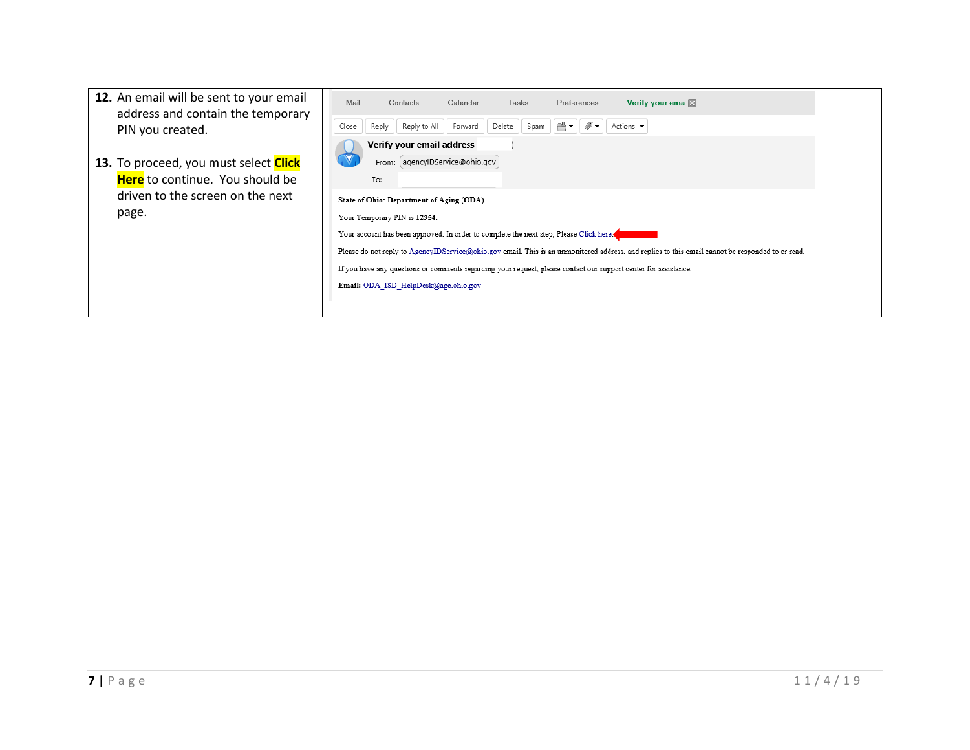| 12. An email will be sent to your email<br>address and contain the temporary | Mail<br>Verify your ema<br>Calendar<br>Tasks<br>Preferences<br>Contacts                                                                          |
|------------------------------------------------------------------------------|--------------------------------------------------------------------------------------------------------------------------------------------------|
| PIN you created.                                                             | Reply to All<br>Actions $\blacktriangledown$<br>Delete<br>Close<br>Forward<br>≞⊶<br>Reply<br>Spam                                                |
| 13. To proceed, you must select <b>Click</b>                                 | Verify your email address<br>From: agencyIDService@ohio.gov                                                                                      |
| Here to continue. You should be                                              | To:                                                                                                                                              |
| driven to the screen on the next                                             | State of Ohio: Department of Aging (ODA)                                                                                                         |
| page.                                                                        | Your Temporary PIN is 12354.                                                                                                                     |
|                                                                              | Your account has been approved. In order to complete the next step, Please Click here.                                                           |
|                                                                              | Please do not reply to AgencyIDService@ohio.gov email. This is an unmonitored address, and replies to this email cannot be responded to or read. |
|                                                                              | If you have any questions or comments regarding your request, please contact our support center for assistance.                                  |
|                                                                              | Email: ODA ISD HelpDesk@age.ohio.gov                                                                                                             |
|                                                                              |                                                                                                                                                  |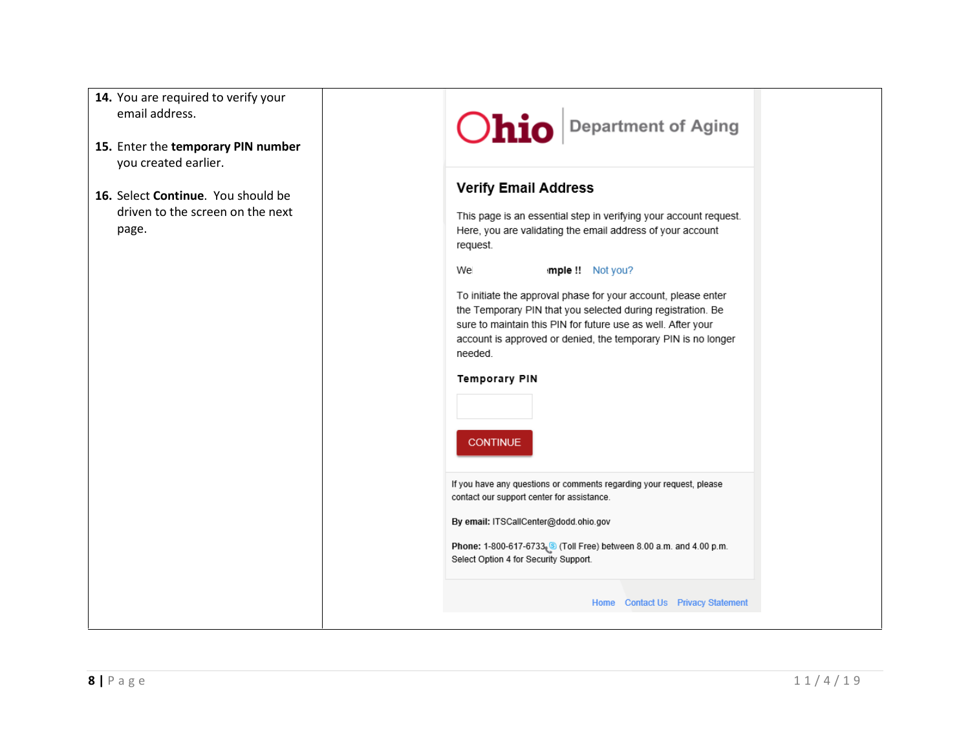| 14. You are required to verify your |
|-------------------------------------|
| email address.                      |

- **15.** Enter the **temporary PIN number** you created earlier.
- **16.** Select **Continue**. You should be driven to the screen on the next page.

## Ohio Department of Aging

## **Verify Email Address**

This page is an essential step in verifying your account request. Here, you are validating the email address of your account request.

We mple !! Not you?

To initiate the approval phase for your account, please enter the Temporary PIN that you selected during registration. Be sure to maintain this PIN for future use as well. After your account is approved or denied, the temporary PIN is no longer needed.

## **Temporary PIN**

**CONTINUE** 

If you have any questions or comments regarding your request, please contact our support center for assistance.

By email: ITSCallCenter@dodd.ohio.gov

Phone: 1-800-617-6733. (3) (Toll Free) between 8.00 a.m. and 4.00 p.m. Select Option 4 for Security Support.

Home Contact Us Privacy Statement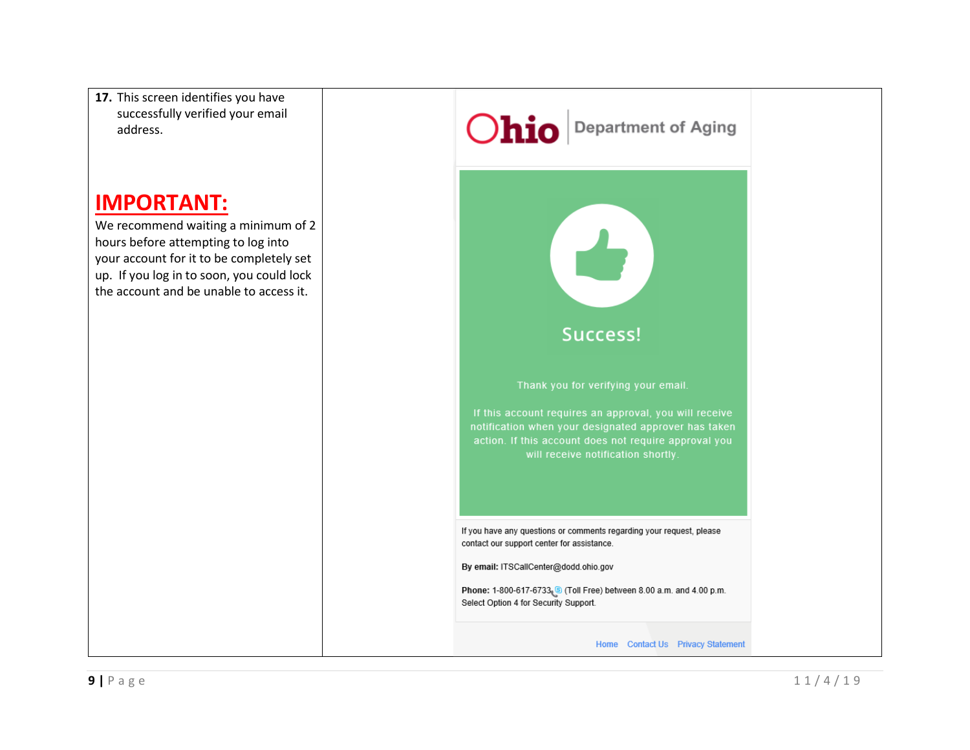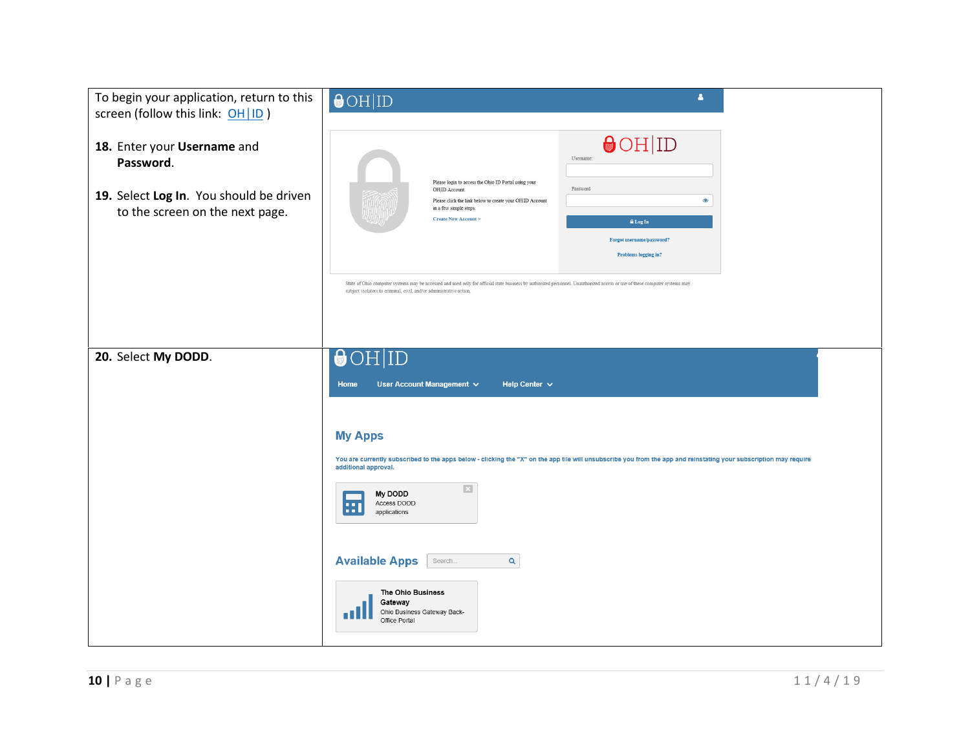| To begin your application, return to this<br>screen (follow this link: OH ID)                                          | $\bigcirc$ OH ID                                                                                                                                                                                                                                                                                             | å                                                                                                                                                                 |
|------------------------------------------------------------------------------------------------------------------------|--------------------------------------------------------------------------------------------------------------------------------------------------------------------------------------------------------------------------------------------------------------------------------------------------------------|-------------------------------------------------------------------------------------------------------------------------------------------------------------------|
| 18. Enter your Username and<br>Password.<br>19. Select Log In. You should be driven<br>to the screen on the next page. | Please login to access the Ohio ID Portal using your<br>OHID Account.<br>Please click the link below to create your OH ID Account<br>in a few simple steps.<br><b>Create New Account&gt;</b>                                                                                                                 | $\Theta$ OH ID<br>Usemame:<br>Password<br>$\circledcirc$<br>A Log In<br>Forgot username/password?<br><b>Problems logging in?</b>                                  |
|                                                                                                                        | State of Ohio computer systems may be accessed and used only for official state business by authorized personnel. Unauthorized access or use of these computer systems may<br>subject violators to criminal, civil, and/or administrative action.                                                            |                                                                                                                                                                   |
| 20. Select My DODD.                                                                                                    | $\bigcirc$ OH ID<br>User Account Management v<br>Help Center $\vee$<br>Home<br><b>My Apps</b><br>additional approval.<br>$\Box$<br>My DODD<br>Access DODD<br>E<br>applications<br><b>Available Apps</b><br>Search.<br>Q<br>The Ohio Business<br>Gateway<br>Ohio Business Gateway Back-<br>п<br>Office Portal | You are currently subscribed to the apps below - clicking the "X" on the app tile will unsubscribe you from the app and reinstating your subscription may require |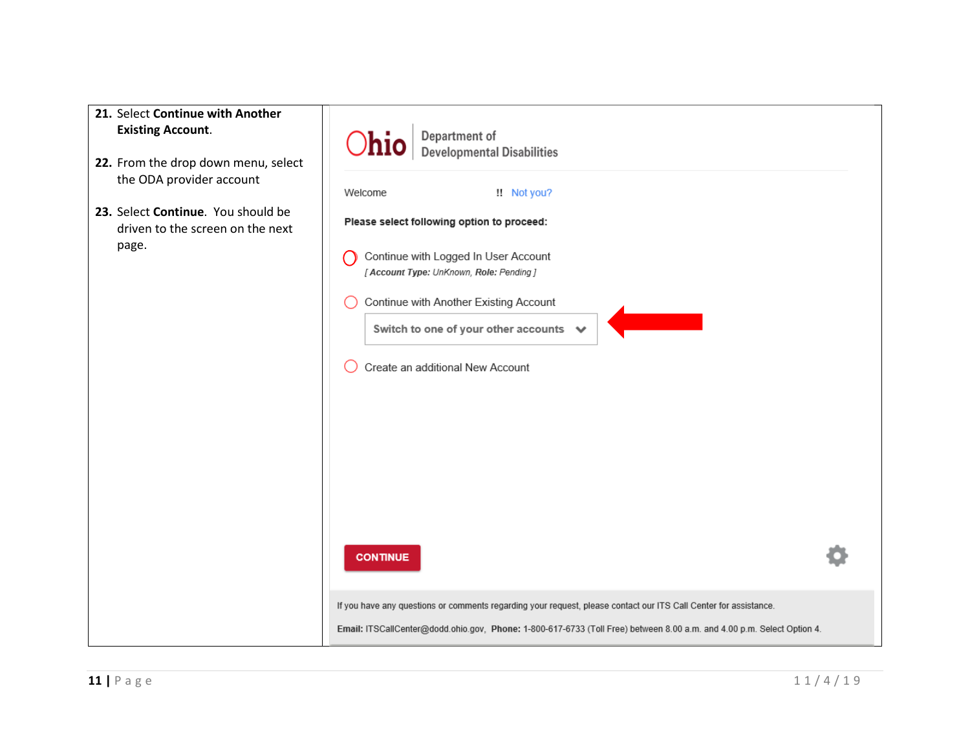| 21. Select Continue with Another<br><b>Existing Account.</b><br>22. From the drop down menu, select<br>the ODA provider account | Department of<br>Developmental Disabilities                                                                                                                                                                                                                                      |  |
|---------------------------------------------------------------------------------------------------------------------------------|----------------------------------------------------------------------------------------------------------------------------------------------------------------------------------------------------------------------------------------------------------------------------------|--|
| 23. Select Continue. You should be<br>driven to the screen on the next<br>page.                                                 | !! Not you?<br>Welcome<br>Please select following option to proceed:<br>Continue with Logged In User Account<br>[ Account Type: UnKnown, Role: Pending ]<br>Continue with Another Existing Account<br>Switch to one of your other accounts ↓<br>Create an additional New Account |  |
|                                                                                                                                 | <b>CONTINUE</b><br>If you have any questions or comments regarding your request, please contact our ITS Call Center for assistance.<br>Email: ITSCallCenter@dodd.ohio.gov, Phone: 1-800-617-6733 (Toll Free) between 8.00 a.m. and 4.00 p.m. Select Option 4.                    |  |